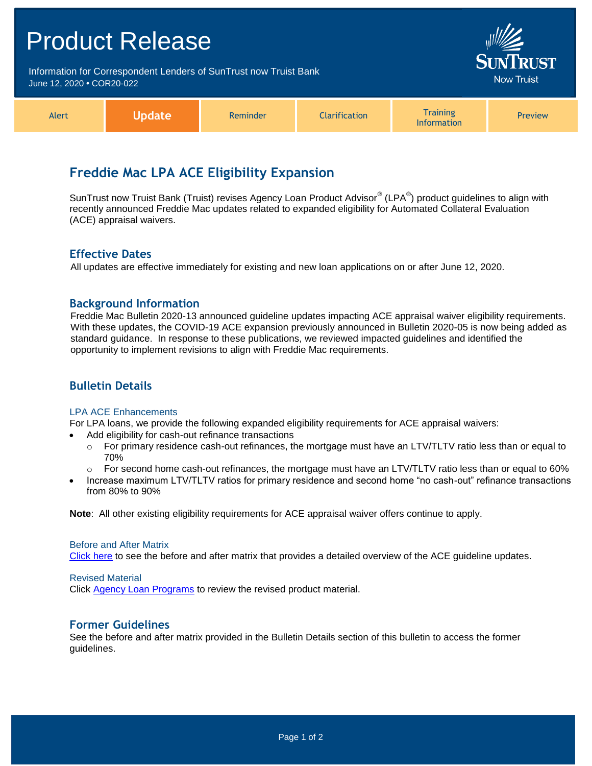| <b>Product Release</b>                                                                         |               |          |                      |                                       | <b>SUNTRUST</b>   |  |
|------------------------------------------------------------------------------------------------|---------------|----------|----------------------|---------------------------------------|-------------------|--|
| Information for Correspondent Lenders of SunTrust now Truist Bank<br>June 12, 2020 . COR20-022 |               |          |                      |                                       | <b>Now Truist</b> |  |
| Alert                                                                                          | <b>Update</b> | Reminder | <b>Clarification</b> | <b>Training</b><br><b>Information</b> | Preview           |  |

# **Freddie Mac LPA ACE Eligibility Expansion**

SunTrust now Truist Bank (Truist) revises Agency Loan Product Advisor® (LPA®) product guidelines to align with recently announced Freddie Mac updates related to expanded eligibility for Automated Collateral Evaluation (ACE) appraisal waivers.

### **Effective Dates**

All updates are effective immediately for existing and new loan applications on or after June 12, 2020.

### **Background Information**

Freddie Mac Bulletin 2020-13 announced guideline updates impacting ACE appraisal waiver eligibility requirements. With these updates, the COVID-19 ACE expansion previously announced in Bulletin 2020-05 is now being added as standard guidance. In response to these publications, we reviewed impacted guidelines and identified the opportunity to implement revisions to align with Freddie Mac requirements.

# **Bulletin Details**

#### LPA ACE Enhancements

For LPA loans, we provide the following expanded eligibility requirements for ACE appraisal waivers:

- Add eligibility for cash-out refinance transactions
	- $\circ$  For primary residence cash-out refinances, the mortgage must have an LTV/TLTV ratio less than or equal to 70%
	- $\circ$  For second home cash-out refinances, the mortgage must have an LTV/TLTV ratio less than or equal to 60%
- Increase maximum LTV/TLTV ratios for primary residence and second home "no cash-out" refinance transactions from 80% to 90%

**Note**: All other existing eligibility requirements for ACE appraisal waiver offers continue to apply.

#### Before and After Matrix

[Click here](http://www.truistsellerguide.com/manual/cor/products/Cr20-022BA.pdf) to see the before and after matrix that provides a detailed overview of the ACE guideline updates.

#### Revised Material

Click [Agency Loan Programs](https://www.truistsellerguide.com/manual/cor/products/CAgency.pdf) to review the revised product material.

## **Former Guidelines**

See the before and after matrix provided in the Bulletin Details section of this bulletin to access the former guidelines.